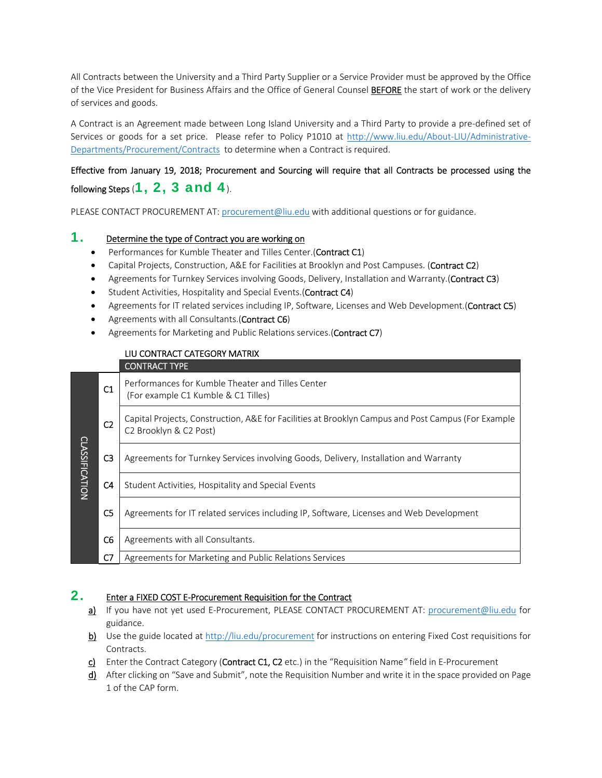All Contracts between the University and a Third Party Supplier or a Service Provider must be approved by the Office of the Vice President for Business Affairs and the Office of General Counsel BEFORE the start of work or the delivery of services and goods.

A Contract is an Agreement made between Long Island University and a Third Party to provide a pre‐defined set of Services or goods for a set price. Please refer to Policy P1010 at http://www.liu.edu/About-LIU/Administrative-Departments/Procurement/Contracts to determine when a Contract is required.

# Effective from January 19, 2018; Procurement and Sourcing will require that all Contracts be processed using the following Steps  $(1, 2, 3$  and  $4)$ .

PLEASE CONTACT PROCUREMENT AT: procurement@liu.edu with additional questions or for guidance.

## 1. Determine the type of Contract you are working on

- Performances for Kumble Theater and Tilles Center.(Contract C1)
- Capital Projects, Construction, A&E for Facilities at Brooklyn and Post Campuses. (Contract C2)
- Agreements for Turnkey Services involving Goods, Delivery, Installation and Warranty.(Contract C3)
- Student Activities, Hospitality and Special Events.(Contract C4)
- **Agreements for IT related services including IP, Software, Licenses and Web Development.(Contract C5)**
- Agreements with all Consultants.(Contract C6)
- Agreements for Marketing and Public Relations services.(Contract C7)

|                       |                | LIU CONTRACT CATEGORY MATRIX<br><b>CONTRACT TYPE</b>                                                                         |
|-----------------------|----------------|------------------------------------------------------------------------------------------------------------------------------|
| <b>CLASSIFICATION</b> | C1             | Performances for Kumble Theater and Tilles Center<br>(For example C1 Kumble & C1 Tilles)                                     |
|                       | C <sub>2</sub> | Capital Projects, Construction, A&E for Facilities at Brooklyn Campus and Post Campus (For Example<br>C2 Brooklyn & C2 Post) |
|                       | C <sub>3</sub> | Agreements for Turnkey Services involving Goods, Delivery, Installation and Warranty                                         |
|                       | C <sub>4</sub> | Student Activities, Hospitality and Special Events                                                                           |
|                       | C5             | Agreements for IT related services including IP, Software, Licenses and Web Development                                      |
|                       | C6             | Agreements with all Consultants.                                                                                             |
|                       | C7             | Agreements for Marketing and Public Relations Services                                                                       |

#### 2. Enter a FIXED COST E-Procurement Requisition for the Contract

- a) If you have not yet used E-Procurement, PLEASE CONTACT PROCUREMENT AT: procurement@liu.edu for guidance.
- b) Use the guide located at http://liu.edu/procurement for instructions on entering Fixed Cost requisitions for Contracts.
- c) Enter the Contract Category (Contract C1, C2 etc.) in the "Requisition Name*"* field in E‐Procurement
- d) After clicking on "Save and Submit", note the Requisition Number and write it in the space provided on Page 1 of the CAP form.